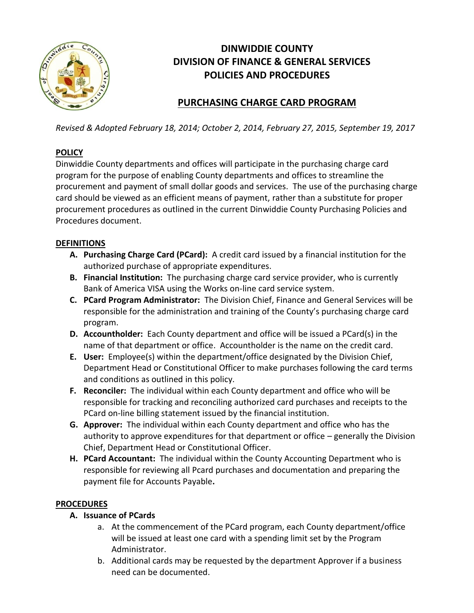

# **DINWIDDIE COUNTY DIVISION OF FINANCE & GENERAL SERVICES POLICIES AND PROCEDURES**

## **PURCHASING CHARGE CARD PROGRAM**

*Revised & Adopted February 18, 2014; October 2, 2014, February 27, 2015, September 19, 2017*

### **POLICY**

Dinwiddie County departments and offices will participate in the purchasing charge card program for the purpose of enabling County departments and offices to streamline the procurement and payment of small dollar goods and services. The use of the purchasing charge card should be viewed as an efficient means of payment, rather than a substitute for proper procurement procedures as outlined in the current Dinwiddie County Purchasing Policies and Procedures document.

### **DEFINITIONS**

- **A. Purchasing Charge Card (PCard):** A credit card issued by a financial institution for the authorized purchase of appropriate expenditures.
- **B. Financial Institution:** The purchasing charge card service provider, who is currently Bank of America VISA using the Works on-line card service system.
- **C. PCard Program Administrator:** The Division Chief, Finance and General Services will be responsible for the administration and training of the County's purchasing charge card program.
- **D. Accountholder:** Each County department and office will be issued a PCard(s) in the name of that department or office. Accountholder is the name on the credit card.
- **E. User:** Employee(s) within the department/office designated by the Division Chief, Department Head or Constitutional Officer to make purchases following the card terms and conditions as outlined in this policy.
- **F. Reconciler:** The individual within each County department and office who will be responsible for tracking and reconciling authorized card purchases and receipts to the PCard on-line billing statement issued by the financial institution.
- **G. Approver:** The individual within each County department and office who has the authority to approve expenditures for that department or office – generally the Division Chief, Department Head or Constitutional Officer.
- **H. PCard Accountant:** The individual within the County Accounting Department who is responsible for reviewing all Pcard purchases and documentation and preparing the payment file for Accounts Payable**.**

#### **PROCEDURES**

- **A. Issuance of PCards**
	- a. At the commencement of the PCard program, each County department/office will be issued at least one card with a spending limit set by the Program Administrator.
	- b. Additional cards may be requested by the department Approver if a business need can be documented.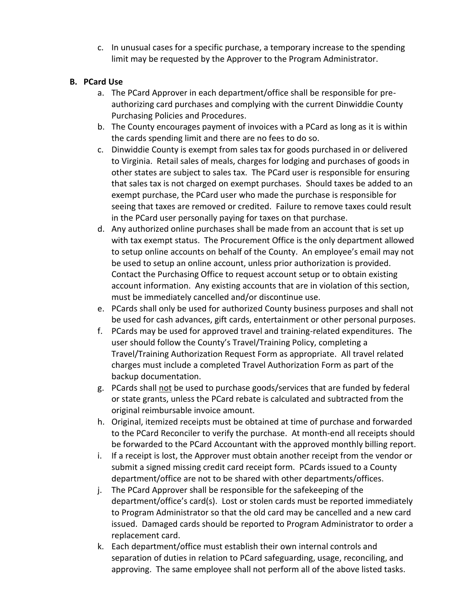c. In unusual cases for a specific purchase, a temporary increase to the spending limit may be requested by the Approver to the Program Administrator.

#### **B. PCard Use**

- a. The PCard Approver in each department/office shall be responsible for preauthorizing card purchases and complying with the current Dinwiddie County Purchasing Policies and Procedures.
- b. The County encourages payment of invoices with a PCard as long as it is within the cards spending limit and there are no fees to do so.
- c. Dinwiddie County is exempt from sales tax for goods purchased in or delivered to Virginia. Retail sales of meals, charges for lodging and purchases of goods in other states are subject to sales tax. The PCard user is responsible for ensuring that sales tax is not charged on exempt purchases. Should taxes be added to an exempt purchase, the PCard user who made the purchase is responsible for seeing that taxes are removed or credited. Failure to remove taxes could result in the PCard user personally paying for taxes on that purchase.
- d. Any authorized online purchases shall be made from an account that is set up with tax exempt status. The Procurement Office is the only department allowed to setup online accounts on behalf of the County. An employee's email may not be used to setup an online account, unless prior authorization is provided. Contact the Purchasing Office to request account setup or to obtain existing account information. Any existing accounts that are in violation of this section, must be immediately cancelled and/or discontinue use.
- e. PCards shall only be used for authorized County business purposes and shall not be used for cash advances, gift cards, entertainment or other personal purposes.
- f. PCards may be used for approved travel and training-related expenditures. The user should follow the County's Travel/Training Policy, completing a Travel/Training Authorization Request Form as appropriate. All travel related charges must include a completed Travel Authorization Form as part of the backup documentation.
- g. PCards shall not be used to purchase goods/services that are funded by federal or state grants, unless the PCard rebate is calculated and subtracted from the original reimbursable invoice amount.
- h. Original, itemized receipts must be obtained at time of purchase and forwarded to the PCard Reconciler to verify the purchase. At month-end all receipts should be forwarded to the PCard Accountant with the approved monthly billing report.
- i. If a receipt is lost, the Approver must obtain another receipt from the vendor or submit a signed missing credit card receipt form. PCards issued to a County department/office are not to be shared with other departments/offices.
- j. The PCard Approver shall be responsible for the safekeeping of the department/office's card(s). Lost or stolen cards must be reported immediately to Program Administrator so that the old card may be cancelled and a new card issued. Damaged cards should be reported to Program Administrator to order a replacement card.
- k. Each department/office must establish their own internal controls and separation of duties in relation to PCard safeguarding, usage, reconciling, and approving. The same employee shall not perform all of the above listed tasks.